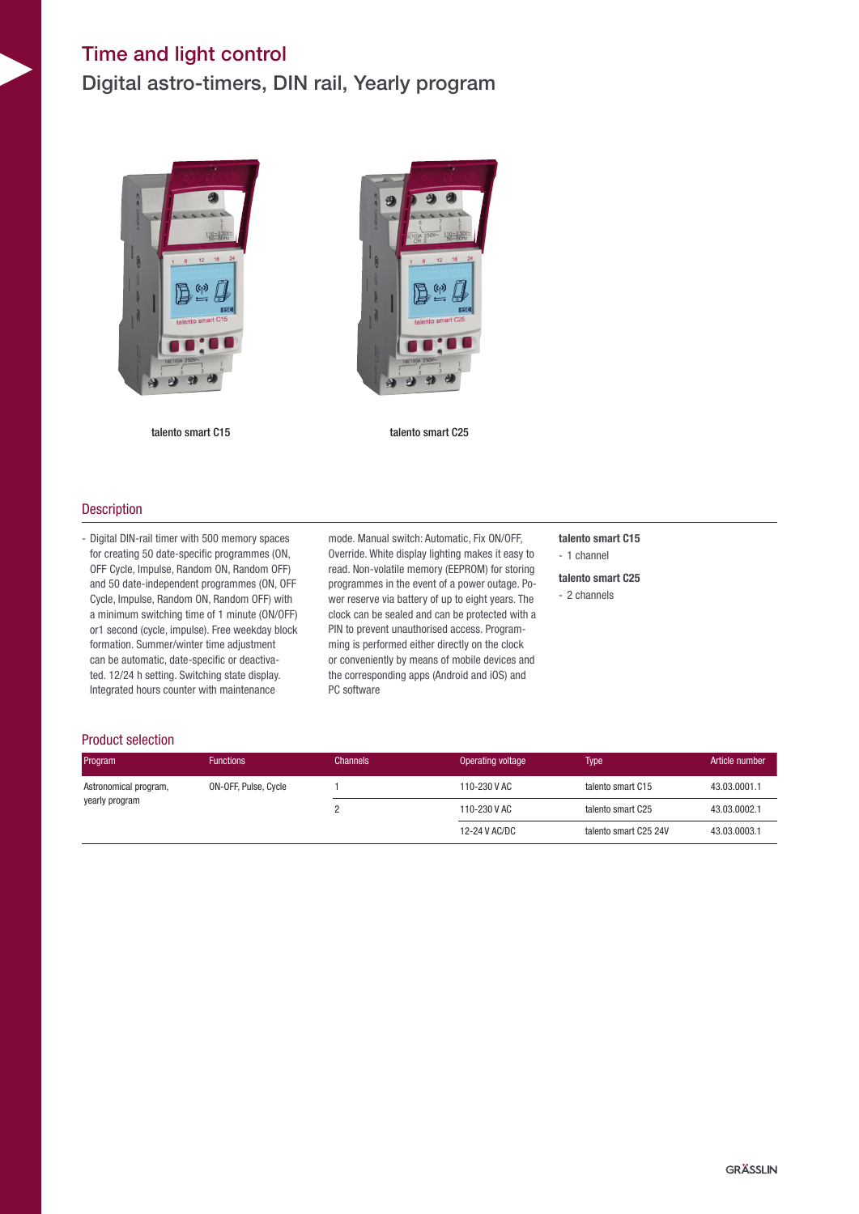## Time and light control

Digital astro-timers, DIN rail, Yearly program





talento smart C15 talento smart C25

### **Description**

- Digital DIN-rail timer with 500 memory spaces for creating 50 date-specific programmes (ON, OFF Cycle, Impulse, Random ON, Random OFF) and 50 date-independent programmes (ON, OFF Cycle, Impulse, Random ON, Random OFF) with a minimum switching time of 1 minute (ON/OFF) or1 second (cycle, impulse). Free weekday block formation. Summer/winter time adjustment can be automatic, date-specific or deactivated. 12/24 h setting. Switching state display. Integrated hours counter with maintenance

mode. Manual switch: Automatic, Fix ON/OFF, Override. White display lighting makes it easy to read. Non-volatile memory (EEPROM) for storing programmes in the event of a power outage. Power reserve via battery of up to eight years. The clock can be sealed and can be protected with a PIN to prevent unauthorised access. Programming is performed either directly on the clock or conveniently by means of mobile devices and the corresponding apps (Android and iOS) and PC software

talento smart C15

- 1 channel
- talento smart C25
- 2 channels

#### Product selection

| Program               | <b>Functions</b>     | <b>Channels</b> | Operating voltage                 | <b>Type</b>           | Article number |
|-----------------------|----------------------|-----------------|-----------------------------------|-----------------------|----------------|
| Astronomical program, | ON-OFF, Pulse, Cycle |                 | 110-230 V AC<br>talento smart C15 | 43.03.0001.1          |                |
| yearly program        |                      |                 | 110-230 V AC                      | talento smart C25     | 43.03.0002.1   |
|                       |                      |                 | 12-24 V AC/DC                     | talento smart C25 24V | 43.03.0003.1   |